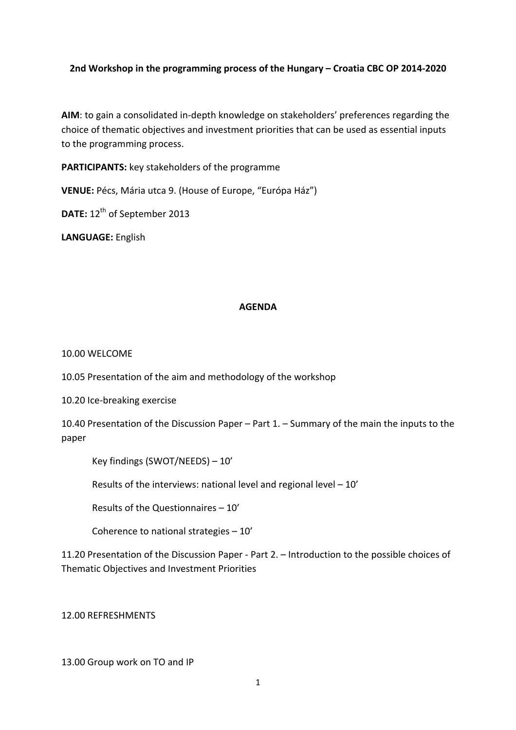## **2nd Workshop in the programming process of the Hungary – Croatia CBC OP 2014-2020**

AIM: to gain a consolidated in-depth knowledge on stakeholders' preferences regarding the choice of thematic objectives and investment priorities that can be used as essential inputs to the programming process.

PARTICIPANTS: key stakeholders of the programme

VENUE: Pécs, Mária utca 9. (House of Europe, "Európa Ház")

**DATE:** 12<sup>th</sup> of September 2013

LANGUAGE: English

## **AGENDA**

10.00 WELCOME

10.05 Presentation of the aim and methodology of the workshop

10.20 Ice-breaking exercise

10.40 Presentation of the Discussion Paper – Part 1. – Summary of the main the inputs to the paper

Key findings (SWOT/NEEDS) – 10'

Results of the interviews: national level and regional level  $-10'$ 

Results of the Questionnaires  $-10'$ 

Coherence to national strategies  $-10'$ 

11.20 Presentation of the Discussion Paper - Part 2. – Introduction to the possible choices of Thematic Objectives and Investment Priorities

12.00"REFRESHMENTS

13.00 Group work on TO and IP